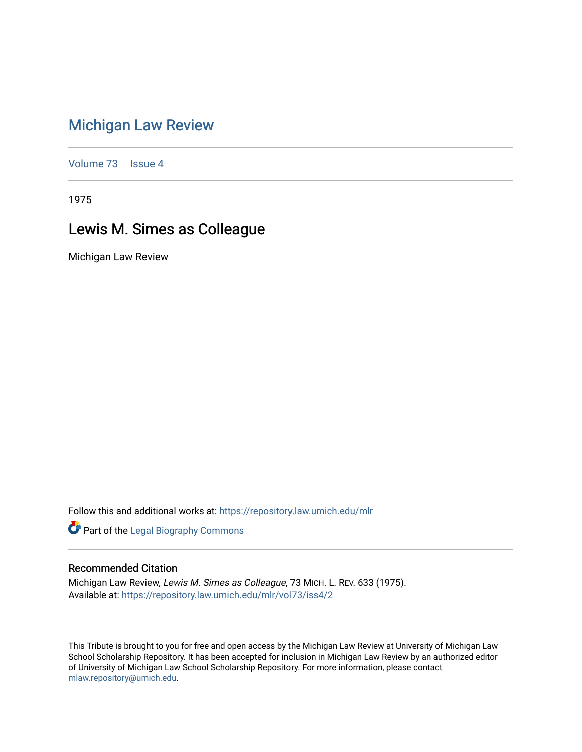## [Michigan Law Review](https://repository.law.umich.edu/mlr)

[Volume 73](https://repository.law.umich.edu/mlr/vol73) | [Issue 4](https://repository.law.umich.edu/mlr/vol73/iss4)

1975

## Lewis M. Simes as Colleague

Michigan Law Review

Follow this and additional works at: [https://repository.law.umich.edu/mlr](https://repository.law.umich.edu/mlr?utm_source=repository.law.umich.edu%2Fmlr%2Fvol73%2Fiss4%2F2&utm_medium=PDF&utm_campaign=PDFCoverPages) 

Part of the [Legal Biography Commons](http://network.bepress.com/hgg/discipline/834?utm_source=repository.law.umich.edu%2Fmlr%2Fvol73%2Fiss4%2F2&utm_medium=PDF&utm_campaign=PDFCoverPages) 

## Recommended Citation

Michigan Law Review, Lewis M. Simes as Colleague, 73 MICH. L. REV. 633 (1975). Available at: [https://repository.law.umich.edu/mlr/vol73/iss4/2](https://repository.law.umich.edu/mlr/vol73/iss4/2?utm_source=repository.law.umich.edu%2Fmlr%2Fvol73%2Fiss4%2F2&utm_medium=PDF&utm_campaign=PDFCoverPages)

This Tribute is brought to you for free and open access by the Michigan Law Review at University of Michigan Law School Scholarship Repository. It has been accepted for inclusion in Michigan Law Review by an authorized editor of University of Michigan Law School Scholarship Repository. For more information, please contact [mlaw.repository@umich.edu.](mailto:mlaw.repository@umich.edu)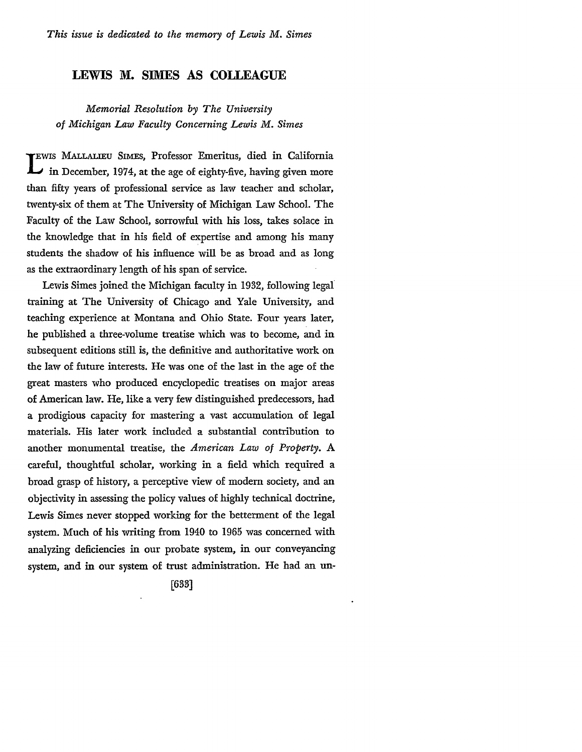## **LEWIS M. SIMES AS COLLEAGUE**

*Memorial Resolution by The University of Michigan Law Faculty Concerning Lewis M. Simes* 

**TEWIS** MALLALIEU SIMES, Professor Emeritus, died in California **L** in December, 1974, at the age of eighty-five, having given more than fifty years of professional service as law teacher and scholar, twenty-six of them at The University of Michigan Law School. The Faculty of the Law School, sorrowful with his loss, takes solace in the knowledge that in his field of expertise and among his many students the shadow of his influence will be as broad and as long as the extraordinary length of his span of service.

Lewis Simes joined the Michigan faculty in 1932, following legal training at The University of Chicago and Yale University, and teaching experience at Montana and Ohio State. Four years later, he published a three-volume treatise which was to become, and in subsequent editions still is, the definitive and authoritative work on the law of future interests. He was one of the last in the age of the great masters who produced encyclopedic treatises on major areas of American law. He, like a very few distinguished predecessors, had a prodigious capacity for mastering a vast accumulation of legal materials. His later work included a substantial contribution to another monumental treatise, the *American Law of Property.* A careful, thoughtful scholar, working in a field which required a broad grasp of history, a perceptive view of modern society, and an objectivity in assessing the policy values of highly technical doctrine, Lewis Simes never stopped working for the betterment of the legal system. Much of his writing from 1940 to 1965 was concerned with analyzing deficiencies in our probate system, in our conveyancing system, and in our system of trust administration. He had an un-

[633]